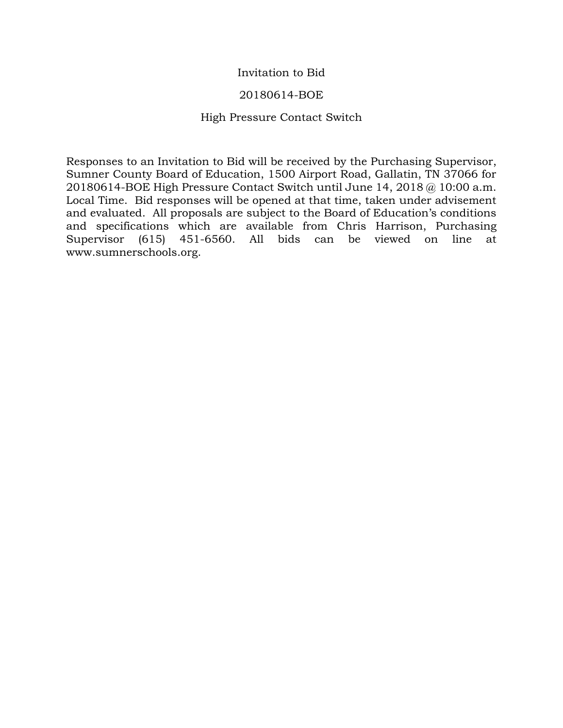## Invitation to Bid

## 20180614-BOE

## High Pressure Contact Switch

Responses to an Invitation to Bid will be received by the Purchasing Supervisor, Sumner County Board of Education, 1500 Airport Road, Gallatin, TN 37066 for 20180614-BOE High Pressure Contact Switch until June 14, 2018 @ 10:00 a.m. Local Time. Bid responses will be opened at that time, taken under advisement and evaluated. All proposals are subject to the Board of Education's conditions and specifications which are available from Chris Harrison, Purchasing Supervisor (615) 451-6560. All bids can be viewed on line at www.sumnerschools.org.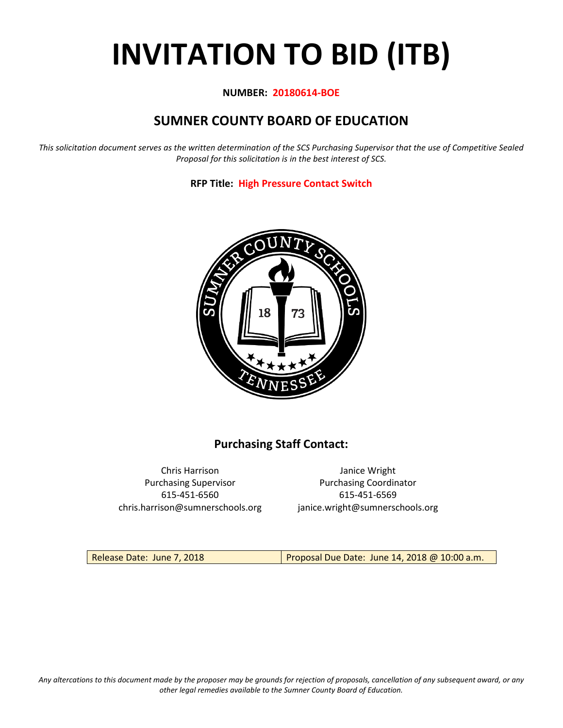# **INVITATION TO BID (ITB)**

## **NUMBER: 20180614-BOE**

# **SUMNER COUNTY BOARD OF EDUCATION**

*This solicitation document serves as the written determination of the SCS Purchasing Supervisor that the use of Competitive Sealed Proposal for this solicitation is in the best interest of SCS.*

**RFP Title: High Pressure Contact Switch**



# **Purchasing Staff Contact:**

Chris Harrison Janice Wright 615-451-6560 615-451-6569 chris.harrison@sumnerschools.org janice.wright@sumnerschools.org

Purchasing Supervisor **Purchasing Coordinator** 

Release Date: June 7, 2018 **Proposal Due Date: June 14, 2018 @ 10:00 a.m.**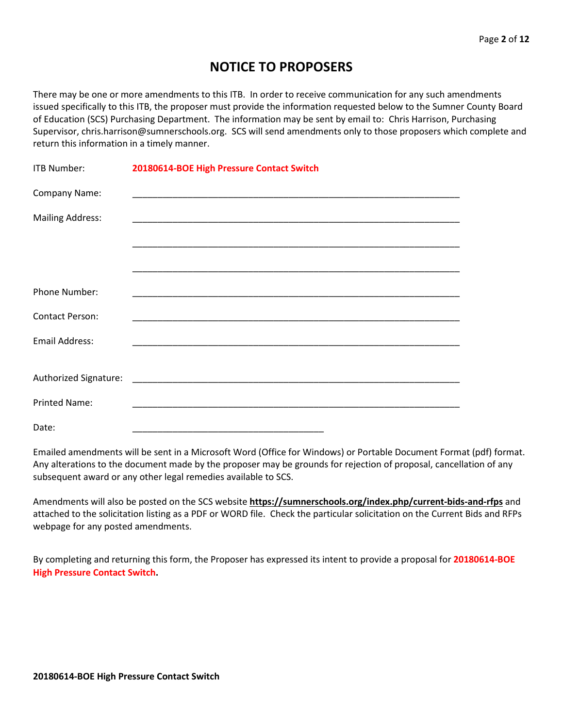# **NOTICE TO PROPOSERS**

There may be one or more amendments to this ITB. In order to receive communication for any such amendments issued specifically to this ITB, the proposer must provide the information requested below to the Sumner County Board of Education (SCS) Purchasing Department. The information may be sent by email to: Chris Harrison, Purchasing Supervisor, chris.harrison@sumnerschools.org. SCS will send amendments only to those proposers which complete and return this information in a timely manner.

| <b>ITB Number:</b>      | 20180614-BOE High Pressure Contact Switch                   |
|-------------------------|-------------------------------------------------------------|
| Company Name:           |                                                             |
| <b>Mailing Address:</b> |                                                             |
|                         |                                                             |
|                         |                                                             |
| Phone Number:           |                                                             |
| <b>Contact Person:</b>  | <u> 1989 - Johann Stoff, amerikansk politiker (d. 1989)</u> |
| Email Address:          |                                                             |
|                         |                                                             |
|                         |                                                             |
| <b>Printed Name:</b>    |                                                             |
| Date:                   |                                                             |

Emailed amendments will be sent in a Microsoft Word (Office for Windows) or Portable Document Format (pdf) format. Any alterations to the document made by the proposer may be grounds for rejection of proposal, cancellation of any subsequent award or any other legal remedies available to SCS.

Amendments will also be posted on the SCS website **https://sumnerschools.org/index.php/current-bids-and-rfps** and attached to the solicitation listing as a PDF or WORD file. Check the particular solicitation on the Current Bids and RFPs webpage for any posted amendments.

By completing and returning this form, the Proposer has expressed its intent to provide a proposal for **20180614-BOE High Pressure Contact Switch.**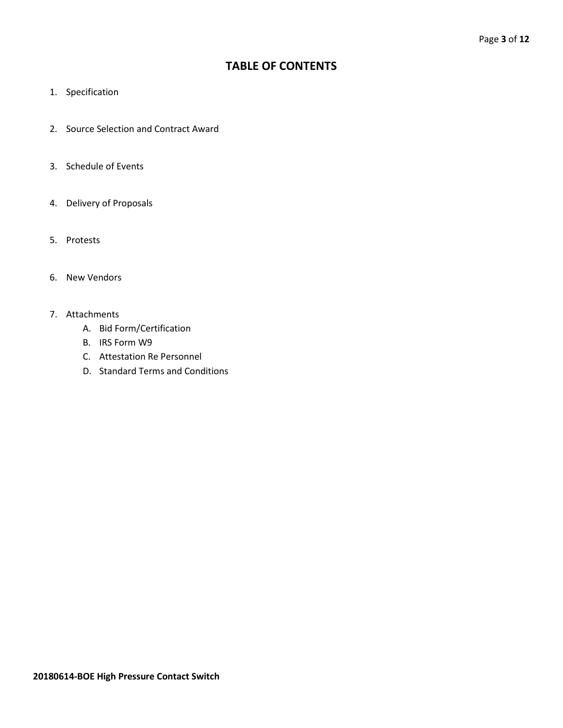# **TABLE OF CONTENTS**

- 1. Specification
- 2. Source Selection and Contract Award
- 3. Schedule of Events
- 4. Delivery of Proposals
- 5. Protests
- 6. New Vendors
- 7. Attachments
	- A. Bid Form/Certification
	- B. IRS Form W9
	- C. Attestation Re Personnel
	- D. Standard Terms and Conditions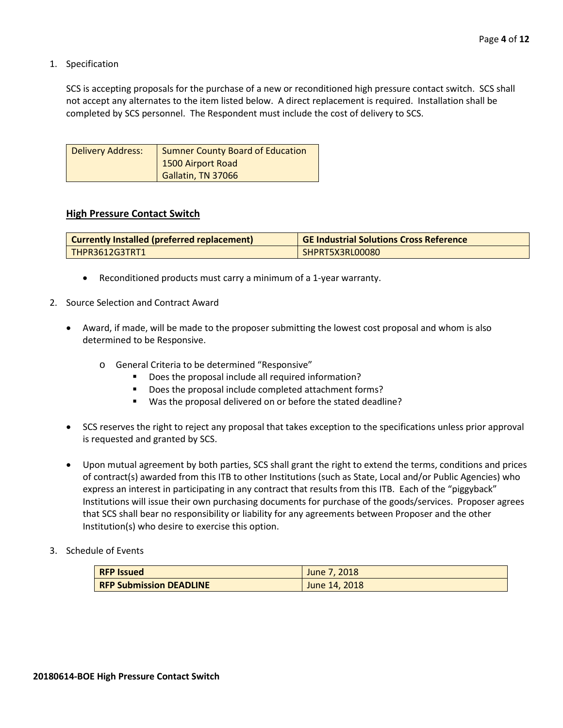1. Specification

SCS is accepting proposals for the purchase of a new or reconditioned high pressure contact switch. SCS shall not accept any alternates to the item listed below. A direct replacement is required. Installation shall be completed by SCS personnel. The Respondent must include the cost of delivery to SCS.

| Delivery Address: | Sumner County Board of Education |
|-------------------|----------------------------------|
|                   | 1500 Airport Road                |
|                   | Gallatin, TN 37066               |

#### **High Pressure Contact Switch**

| Currently Installed (preferred replacement) | <b>GE Industrial Solutions Cross Reference</b> |
|---------------------------------------------|------------------------------------------------|
| THPR3612G3TRT1                              | SHPRT5X3RL00080                                |

- Reconditioned products must carry a minimum of a 1-year warranty.
- 2. Source Selection and Contract Award
	- Award, if made, will be made to the proposer submitting the lowest cost proposal and whom is also determined to be Responsive.
		- o General Criteria to be determined "Responsive"
			- Does the proposal include all required information?
			- Does the proposal include completed attachment forms?
			- Was the proposal delivered on or before the stated deadline?
	- SCS reserves the right to reject any proposal that takes exception to the specifications unless prior approval is requested and granted by SCS.
	- Upon mutual agreement by both parties, SCS shall grant the right to extend the terms, conditions and prices of contract(s) awarded from this ITB to other Institutions (such as State, Local and/or Public Agencies) who express an interest in participating in any contract that results from this ITB. Each of the "piggyback" Institutions will issue their own purchasing documents for purchase of the goods/services. Proposer agrees that SCS shall bear no responsibility or liability for any agreements between Proposer and the other Institution(s) who desire to exercise this option.
- 3. Schedule of Events

| <b>RFP Issued</b>              | June 7, 2018  |
|--------------------------------|---------------|
| <b>RFP Submission DEADLINE</b> | June 14, 2018 |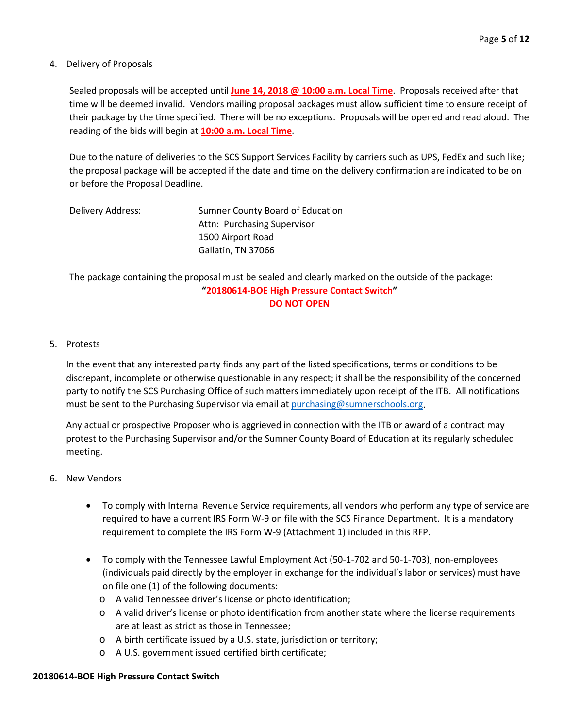## 4. Delivery of Proposals

Sealed proposals will be accepted until **June 14, 2018 @ 10:00 a.m. Local Time**. Proposals received after that time will be deemed invalid. Vendors mailing proposal packages must allow sufficient time to ensure receipt of their package by the time specified. There will be no exceptions. Proposals will be opened and read aloud. The reading of the bids will begin at **10:00 a.m. Local Time**.

Due to the nature of deliveries to the SCS Support Services Facility by carriers such as UPS, FedEx and such like; the proposal package will be accepted if the date and time on the delivery confirmation are indicated to be on or before the Proposal Deadline.

| Delivery Address: | Sumner County Board of Education |
|-------------------|----------------------------------|
|                   | Attn: Purchasing Supervisor      |
|                   | 1500 Airport Road                |
|                   | Gallatin, TN 37066               |

The package containing the proposal must be sealed and clearly marked on the outside of the package: **"20180614-BOE High Pressure Contact Switch" DO NOT OPEN**

## 5. Protests

In the event that any interested party finds any part of the listed specifications, terms or conditions to be discrepant, incomplete or otherwise questionable in any respect; it shall be the responsibility of the concerned party to notify the SCS Purchasing Office of such matters immediately upon receipt of the ITB. All notifications must be sent to the Purchasing Supervisor via email at [purchasing@sumnerschools.org.](mailto:purchasing@sumnerschools.org)

Any actual or prospective Proposer who is aggrieved in connection with the ITB or award of a contract may protest to the Purchasing Supervisor and/or the Sumner County Board of Education at its regularly scheduled meeting.

## 6. New Vendors

- To comply with Internal Revenue Service requirements, all vendors who perform any type of service are required to have a current IRS Form W-9 on file with the SCS Finance Department. It is a mandatory requirement to complete the IRS Form W-9 (Attachment 1) included in this RFP.
- To comply with the Tennessee Lawful Employment Act (50-1-702 and 50-1-703), non-employees (individuals paid directly by the employer in exchange for the individual's labor or services) must have on file one (1) of the following documents:
	- o A valid Tennessee driver's license or photo identification;
	- o A valid driver's license or photo identification from another state where the license requirements are at least as strict as those in Tennessee;
	- o A birth certificate issued by a U.S. state, jurisdiction or territory;
	- o A U.S. government issued certified birth certificate;

## **20180614-BOE High Pressure Contact Switch**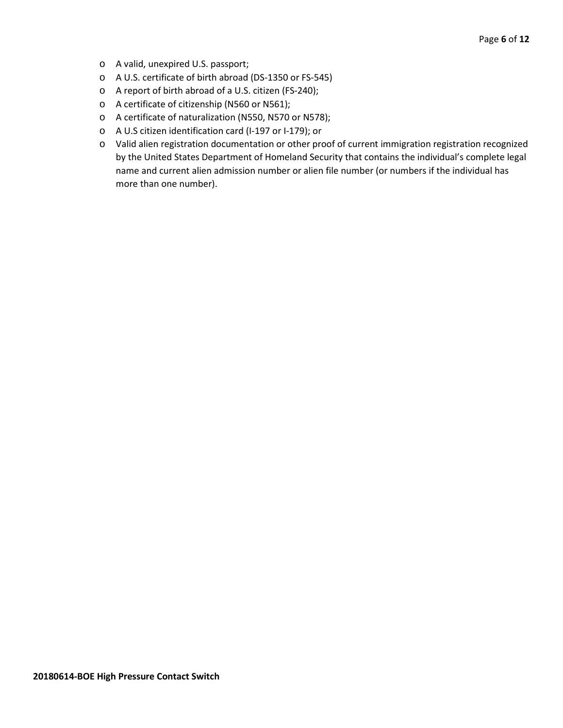- o A valid, unexpired U.S. passport;
- o A U.S. certificate of birth abroad (DS-1350 or FS-545)
- o A report of birth abroad of a U.S. citizen (FS-240);
- o A certificate of citizenship (N560 or N561);
- o A certificate of naturalization (N550, N570 or N578);
- o A U.S citizen identification card (I-197 or I-179); or
- o Valid alien registration documentation or other proof of current immigration registration recognized by the United States Department of Homeland Security that contains the individual's complete legal name and current alien admission number or alien file number (or numbers if the individual has more than one number).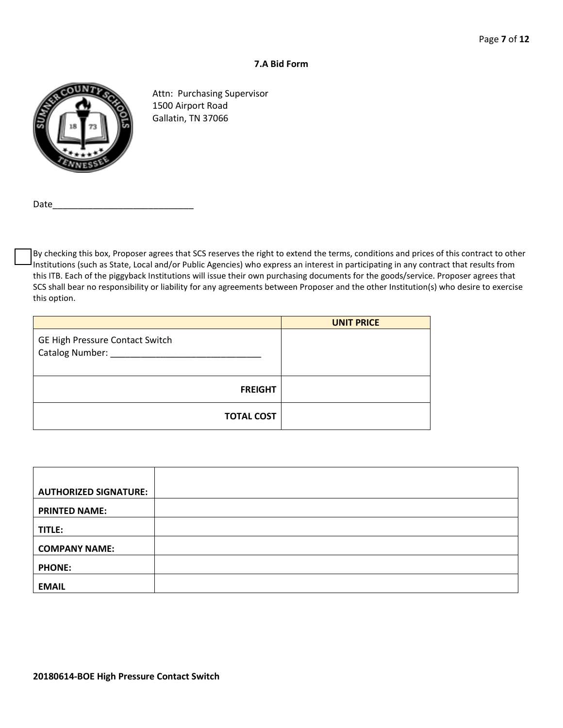## **7.A Bid Form**



Attn: Purchasing Supervisor 1500 Airport Road Gallatin, TN 37066

Date

By checking this box, Proposer agrees that SCS reserves the right to extend the terms, conditions and prices of this contract to other Institutions (such as State, Local and/or Public Agencies) who express an interest in participating in any contract that results from this ITB. Each of the piggyback Institutions will issue their own purchasing documents for the goods/service. Proposer agrees that SCS shall bear no responsibility or liability for any agreements between Proposer and the other Institution(s) who desire to exercise this option.

|                                                            | <b>UNIT PRICE</b> |
|------------------------------------------------------------|-------------------|
| GE High Pressure Contact Switch<br>Catalog Number: _______ |                   |
| <b>FREIGHT</b>                                             |                   |
| <b>TOTAL COST</b>                                          |                   |

| <b>AUTHORIZED SIGNATURE:</b> |  |
|------------------------------|--|
|                              |  |
| <b>PRINTED NAME:</b>         |  |
|                              |  |
| TITLE:                       |  |
| <b>COMPANY NAME:</b>         |  |
| <b>PHONE:</b>                |  |
| <b>EMAIL</b>                 |  |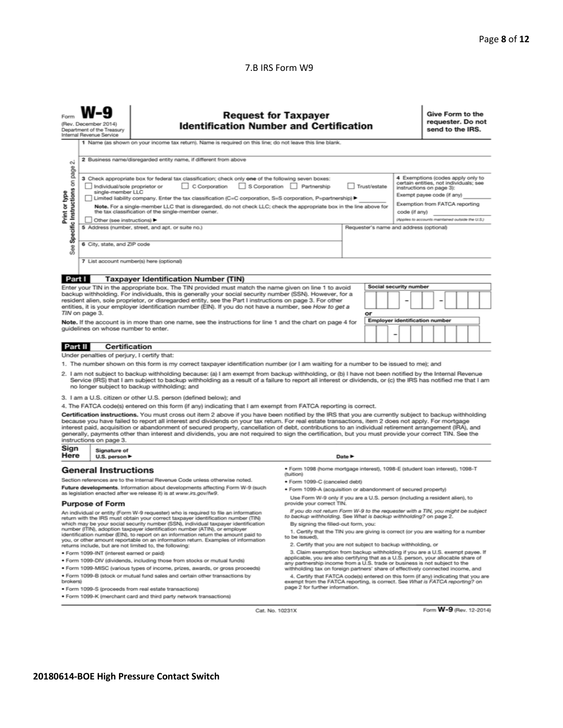## 7.B IRS Form W9

|                                                                                                                                                                                                                                                                                                                                                                                                                                                                                                                                                                                                                                                                                                                                                                                                                                                                                                                                                                             | <b>Request for Taxpayer</b><br><b>Identification Number and Certification</b><br>(Rev. December 2014)<br>Department of the Treasury<br>Internal Revenue Service<br>1 Name (as shown on your income tax return). Name is required on this line; do not leave this line blank. |                                                                                                                                                                                                                                                                                                                                                                                                                                                                                                                                                                                                                                                                                                                                                                                                                                                                                                                                                      |                                                                                                                                                                                                                                                                             |                            |  | Give Form to the<br>requester. Do not<br>send to the IRS. |  |
|-----------------------------------------------------------------------------------------------------------------------------------------------------------------------------------------------------------------------------------------------------------------------------------------------------------------------------------------------------------------------------------------------------------------------------------------------------------------------------------------------------------------------------------------------------------------------------------------------------------------------------------------------------------------------------------------------------------------------------------------------------------------------------------------------------------------------------------------------------------------------------------------------------------------------------------------------------------------------------|------------------------------------------------------------------------------------------------------------------------------------------------------------------------------------------------------------------------------------------------------------------------------|------------------------------------------------------------------------------------------------------------------------------------------------------------------------------------------------------------------------------------------------------------------------------------------------------------------------------------------------------------------------------------------------------------------------------------------------------------------------------------------------------------------------------------------------------------------------------------------------------------------------------------------------------------------------------------------------------------------------------------------------------------------------------------------------------------------------------------------------------------------------------------------------------------------------------------------------------|-----------------------------------------------------------------------------------------------------------------------------------------------------------------------------------------------------------------------------------------------------------------------------|----------------------------|--|-----------------------------------------------------------|--|
| 2 Business name/disregarded entity name, if different from above<br><b>CU</b><br>page<br>4 Exemptions (codes apply only to<br>3 Check appropriate box for federal tax classification; check only one of the following seven boxes:<br>certain entities, not individuals; see<br>S Corporation Partnership<br>$\Box$ C Corporation<br>Trust/estate<br>Individual/sole proprietor or<br>instructions on page 3):<br>single-member LLC<br>Exempt payee code (if any)<br>Limited liability company. Enter the tax classification (C=C corporation, S=S corporation, P=partnership) ▶<br>Exemption from FATCA reporting                                                                                                                                                                                                                                                                                                                                                          |                                                                                                                                                                                                                                                                              |                                                                                                                                                                                                                                                                                                                                                                                                                                                                                                                                                                                                                                                                                                                                                                                                                                                                                                                                                      |                                                                                                                                                                                                                                                                             |                            |  |                                                           |  |
| Specific Instructions on<br>Print or type<br>Note. For a single-member LLC that is disregarded, do not check LLC; check the appropriate box in the line above for<br>the tax classification of the single-member owner.<br>code (if any)<br>Other (see instructions) ▶<br>5 Address (number, street, and apt. or suite no.)<br>Requester's name and address (optional)<br>6 City, state, and ZIP code<br>See                                                                                                                                                                                                                                                                                                                                                                                                                                                                                                                                                                |                                                                                                                                                                                                                                                                              |                                                                                                                                                                                                                                                                                                                                                                                                                                                                                                                                                                                                                                                                                                                                                                                                                                                                                                                                                      | (Applies to accounts maintained outside the U.S.)                                                                                                                                                                                                                           |                            |  |                                                           |  |
|                                                                                                                                                                                                                                                                                                                                                                                                                                                                                                                                                                                                                                                                                                                                                                                                                                                                                                                                                                             |                                                                                                                                                                                                                                                                              | 7 List account number(s) here (optional)                                                                                                                                                                                                                                                                                                                                                                                                                                                                                                                                                                                                                                                                                                                                                                                                                                                                                                             |                                                                                                                                                                                                                                                                             |                            |  |                                                           |  |
| Part I<br><b>Taxpayer Identification Number (TIN)</b><br><b>Social security number</b><br>Enter your TIN in the appropriate box. The TIN provided must match the name given on line 1 to avoid<br>backup withholding. For individuals, this is generally your social security number (SSN). However, for a<br>resident alien, sole proprietor, or disregarded entity, see the Part I instructions on page 3. For other<br>entities, it is your employer identification number (EIN). If you do not have a number, see How to get a<br>TIN on page 3.<br>or<br><b>Employer identification number</b><br>Note. If the account is in more than one name, see the instructions for line 1 and the chart on page 4 for<br>quidelines on whose number to enter.<br>-                                                                                                                                                                                                              |                                                                                                                                                                                                                                                                              |                                                                                                                                                                                                                                                                                                                                                                                                                                                                                                                                                                                                                                                                                                                                                                                                                                                                                                                                                      |                                                                                                                                                                                                                                                                             |                            |  |                                                           |  |
| Part II                                                                                                                                                                                                                                                                                                                                                                                                                                                                                                                                                                                                                                                                                                                                                                                                                                                                                                                                                                     | Certification                                                                                                                                                                                                                                                                |                                                                                                                                                                                                                                                                                                                                                                                                                                                                                                                                                                                                                                                                                                                                                                                                                                                                                                                                                      |                                                                                                                                                                                                                                                                             |                            |  |                                                           |  |
| Under penalties of perjury, I certify that:<br>1. The number shown on this form is my correct taxpayer identification number (or I am waiting for a number to be issued to me); and<br>2. I am not subject to backup withholding because: (a) I am exempt from backup withholding, or (b) I have not been notified by the Internal Revenue<br>Service (IRS) that I am subject to backup withholding as a result of a failure to report all interest or dividends, or (c) the IRS has notified me that I am<br>no longer subject to backup withholding; and                                                                                                                                                                                                                                                                                                                                                                                                                  |                                                                                                                                                                                                                                                                              |                                                                                                                                                                                                                                                                                                                                                                                                                                                                                                                                                                                                                                                                                                                                                                                                                                                                                                                                                      |                                                                                                                                                                                                                                                                             |                            |  |                                                           |  |
| 3. I am a U.S. citizen or other U.S. person (defined below); and<br>4. The FATCA code(s) entered on this form (if any) indicating that I am exempt from FATCA reporting is correct.<br>Certification instructions. You must cross out item 2 above if you have been notified by the IRS that you are currently subject to backup withholding<br>because you have failed to report all interest and dividends on your tax return. For real estate transactions, item 2 does not apply. For mortgage<br>interest paid, acquisition or abandonment of secured property, cancellation of debt, contributions to an individual retirement arrangement (IRA), and<br>generally, payments other than interest and dividends, you are not required to sign the certification, but you must provide your correct TIN. See the<br>instructions on page 3.                                                                                                                             |                                                                                                                                                                                                                                                                              |                                                                                                                                                                                                                                                                                                                                                                                                                                                                                                                                                                                                                                                                                                                                                                                                                                                                                                                                                      |                                                                                                                                                                                                                                                                             |                            |  |                                                           |  |
| Sign<br>Here                                                                                                                                                                                                                                                                                                                                                                                                                                                                                                                                                                                                                                                                                                                                                                                                                                                                                                                                                                | Signature of<br>U.S. person $\blacktriangleright$                                                                                                                                                                                                                            |                                                                                                                                                                                                                                                                                                                                                                                                                                                                                                                                                                                                                                                                                                                                                                                                                                                                                                                                                      |                                                                                                                                                                                                                                                                             | Date $\blacktriangleright$ |  |                                                           |  |
|                                                                                                                                                                                                                                                                                                                                                                                                                                                                                                                                                                                                                                                                                                                                                                                                                                                                                                                                                                             | <b>General Instructions</b>                                                                                                                                                                                                                                                  | Section references are to the Internal Revenue Code unless otherwise noted.<br>Future developments. Information about developments affecting Form W-9 (such<br>as legislation enacted after we release it) is at www.irs.gov/fw9.                                                                                                                                                                                                                                                                                                                                                                                                                                                                                                                                                                                                                                                                                                                    | ● Form 1098 (home mortgage interest), 1098-E (student loan interest), 1098-T<br>(tuition)<br>· Form 1099-C (canceled debt)<br>· Form 1099-A (acquisition or abandonment of secured property)<br>Use Form W-9 only if you are a U.S. person (including a resident alien), to |                            |  |                                                           |  |
| <b>Purpose of Form</b><br>An individual or entity (Form W-9 requester) who is required to file an information<br>return with the IRS must obtain your correct taxpayer identification number (TIN)<br>which may be your social security number (SSN), individual taxpayer identification<br>number (ITIN), adoption taxpayer identification number (ATIN), or employer<br>identification number (EIN), to report on an information return the amount paid to<br>you, or other amount reportable on an information return. Examples of information<br>returns include, but are not limited to, the following:<br>· Form 1099-INT (interest earned or paid)<br>. Form 1099-DIV (dividends, including those from stocks or mutual funds)<br>* Form 1099-MISC (various types of income, prizes, awards, or gross proceeds)<br>. Form 1099-B (stock or mutual fund sales and certain other transactions by<br>brokers)<br>· Form 1099-S (proceeds from real estate transactions) |                                                                                                                                                                                                                                                                              | provide your correct TIN.<br>If you do not return Form W-9 to the requester with a TIN, you might be subject<br>to backup withholding. See What is backup withholding? on page 2.<br>By signing the filled-out form, you:<br>1. Certify that the TIN you are giving is correct (or you are waiting for a number<br>to be issued).<br>2. Certify that you are not subject to backup withholding, or<br>3. Claim exemption from backup withholding if you are a U.S. exempt payee. If<br>applicable, you are also certifying that as a U.S. person, your allocable share of<br>any partnership income from a U.S. trade or business is not subject to the<br>withholding tax on foreign partners' share of effectively connected income, and<br>4. Certify that FATCA code(s) entered on this form (if any) indicating that you are<br>exempt from the FATCA reporting, is correct. See What is FATCA reporting? on<br>page 2 for further information. |                                                                                                                                                                                                                                                                             |                            |  |                                                           |  |
|                                                                                                                                                                                                                                                                                                                                                                                                                                                                                                                                                                                                                                                                                                                                                                                                                                                                                                                                                                             | . Form 1099-K (merchant card and third party network transactions)                                                                                                                                                                                                           |                                                                                                                                                                                                                                                                                                                                                                                                                                                                                                                                                                                                                                                                                                                                                                                                                                                                                                                                                      |                                                                                                                                                                                                                                                                             |                            |  |                                                           |  |

Cat. No. 10231X

Form W-9 (Rev. 12-2014)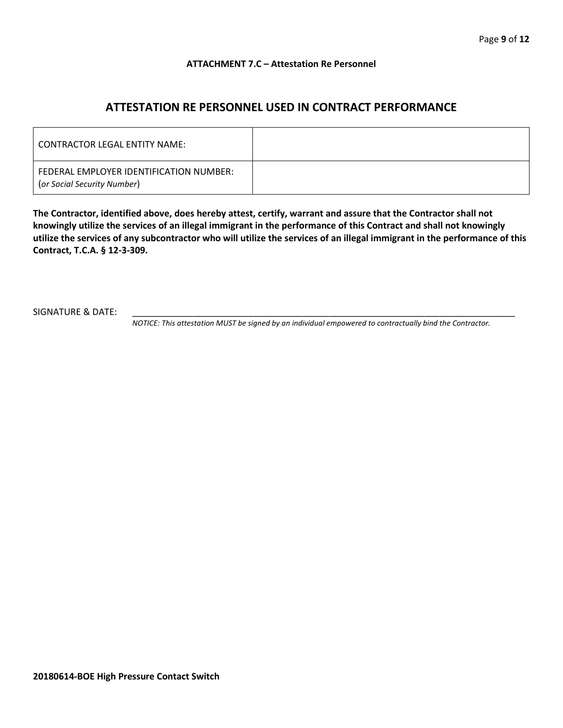## **ATTACHMENT 7.C – Attestation Re Personnel**

# **ATTESTATION RE PERSONNEL USED IN CONTRACT PERFORMANCE**

| CONTRACTOR LEGAL ENTITY NAME:                                          |  |
|------------------------------------------------------------------------|--|
| FEDERAL EMPLOYER IDENTIFICATION NUMBER:<br>(or Social Security Number) |  |

**The Contractor, identified above, does hereby attest, certify, warrant and assure that the Contractor shall not knowingly utilize the services of an illegal immigrant in the performance of this Contract and shall not knowingly utilize the services of any subcontractor who will utilize the services of an illegal immigrant in the performance of this Contract, T.C.A. § 12-3-309.**

SIGNATURE & DATE:

*NOTICE: This attestation MUST be signed by an individual empowered to contractually bind the Contractor.*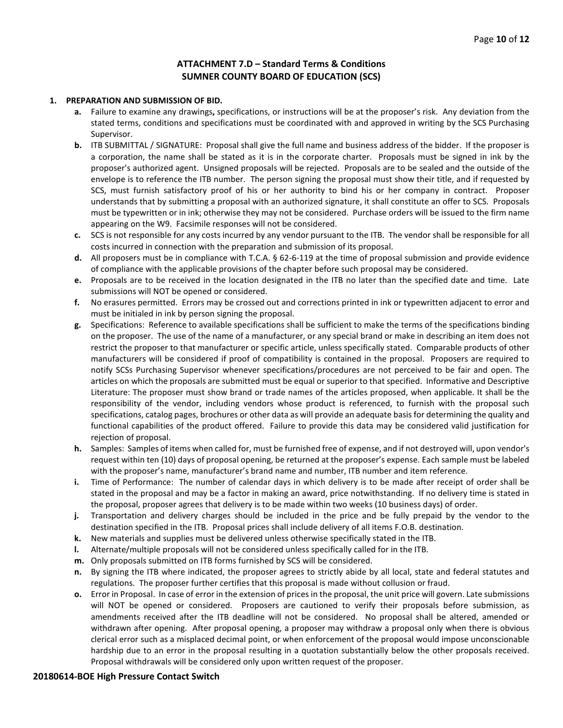## **ATTACHMENT 7.D – Standard Terms & Conditions SUMNER COUNTY BOARD OF EDUCATION (SCS)**

#### **1. PREPARATION AND SUBMISSION OF BID.**

- **a.** Failure to examine any drawings**,** specifications, or instructions will be at the proposer's risk. Any deviation from the stated terms, conditions and specifications must be coordinated with and approved in writing by the SCS Purchasing Supervisor.
- **b.** ITB SUBMITTAL / SIGNATURE: Proposal shall give the full name and business address of the bidder. If the proposer is a corporation, the name shall be stated as it is in the corporate charter. Proposals must be signed in ink by the proposer's authorized agent. Unsigned proposals will be rejected. Proposals are to be sealed and the outside of the envelope is to reference the ITB number. The person signing the proposal must show their title, and if requested by SCS, must furnish satisfactory proof of his or her authority to bind his or her company in contract. Proposer understands that by submitting a proposal with an authorized signature, it shall constitute an offer to SCS. Proposals must be typewritten or in ink; otherwise they may not be considered. Purchase orders will be issued to the firm name appearing on the W9. Facsimile responses will not be considered.
- **c.** SCS is not responsible for any costs incurred by any vendor pursuant to the ITB. The vendor shall be responsible for all costs incurred in connection with the preparation and submission of its proposal.
- **d.** All proposers must be in compliance with T.C.A. § 62-6-119 at the time of proposal submission and provide evidence of compliance with the applicable provisions of the chapter before such proposal may be considered.
- **e.** Proposals are to be received in the location designated in the ITB no later than the specified date and time. Late submissions will NOT be opened or considered.
- **f.** No erasures permitted. Errors may be crossed out and corrections printed in ink or typewritten adjacent to error and must be initialed in ink by person signing the proposal.
- **g.** Specifications: Reference to available specifications shall be sufficient to make the terms of the specifications binding on the proposer. The use of the name of a manufacturer, or any special brand or make in describing an item does not restrict the proposer to that manufacturer or specific article, unless specifically stated. Comparable products of other manufacturers will be considered if proof of compatibility is contained in the proposal. Proposers are required to notify SCSs Purchasing Supervisor whenever specifications/procedures are not perceived to be fair and open. The articles on which the proposals are submitted must be equal or superior to that specified. Informative and Descriptive Literature: The proposer must show brand or trade names of the articles proposed, when applicable. It shall be the responsibility of the vendor, including vendors whose product is referenced, to furnish with the proposal such specifications, catalog pages, brochures or other data as will provide an adequate basis for determining the quality and functional capabilities of the product offered. Failure to provide this data may be considered valid justification for rejection of proposal.
- **h.** Samples: Samples of items when called for, must be furnished free of expense, and if not destroyed will, upon vendor's request within ten (10) days of proposal opening, be returned at the proposer's expense. Each sample must be labeled with the proposer's name, manufacturer's brand name and number, ITB number and item reference.
- **i.** Time of Performance: The number of calendar days in which delivery is to be made after receipt of order shall be stated in the proposal and may be a factor in making an award, price notwithstanding. If no delivery time is stated in the proposal, proposer agrees that delivery is to be made within two weeks (10 business days) of order.
- **j.** Transportation and delivery charges should be included in the price and be fully prepaid by the vendor to the destination specified in the ITB. Proposal prices shall include delivery of all items F.O.B. destination.
- **k.** New materials and supplies must be delivered unless otherwise specifically stated in the ITB.
- **l.** Alternate/multiple proposals will not be considered unless specifically called for in the ITB.
- **m.** Only proposals submitted on ITB forms furnished by SCS will be considered.
- **n.** By signing the ITB where indicated, the proposer agrees to strictly abide by all local, state and federal statutes and regulations. The proposer further certifies that this proposal is made without collusion or fraud.
- **o.** Error in Proposal. In case of error in the extension of prices in the proposal, the unit price will govern. Late submissions will NOT be opened or considered. Proposers are cautioned to verify their proposals before submission, as amendments received after the ITB deadline will not be considered. No proposal shall be altered, amended or withdrawn after opening. After proposal opening, a proposer may withdraw a proposal only when there is obvious clerical error such as a misplaced decimal point, or when enforcement of the proposal would impose unconscionable hardship due to an error in the proposal resulting in a quotation substantially below the other proposals received. Proposal withdrawals will be considered only upon written request of the proposer.

#### **20180614-BOE High Pressure Contact Switch**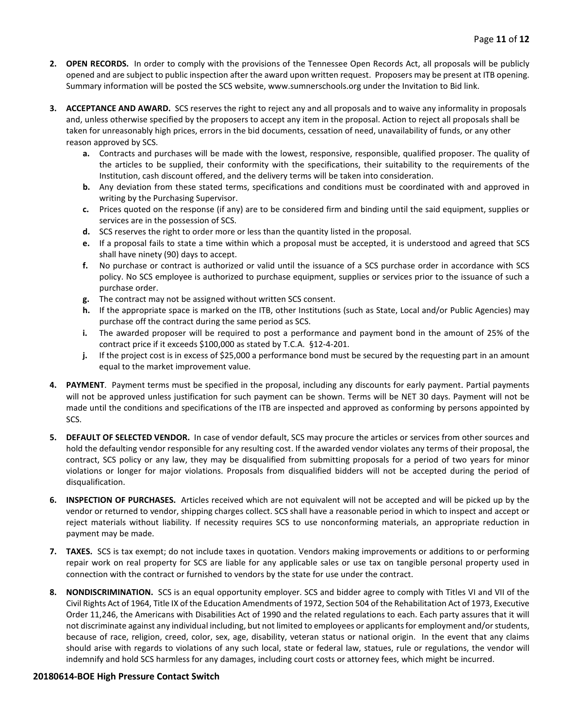- **2. OPEN RECORDS.** In order to comply with the provisions of the Tennessee Open Records Act, all proposals will be publicly opened and are subject to public inspection after the award upon written request. Proposers may be present at ITB opening. Summary information will be posted the SCS website, www.sumnerschools.org under the Invitation to Bid link.
- **3. ACCEPTANCE AND AWARD.** SCS reserves the right to reject any and all proposals and to waive any informality in proposals and, unless otherwise specified by the proposers to accept any item in the proposal. Action to reject all proposals shall be taken for unreasonably high prices, errors in the bid documents, cessation of need, unavailability of funds, or any other reason approved by SCS.
	- **a.** Contracts and purchases will be made with the lowest, responsive, responsible, qualified proposer. The quality of the articles to be supplied, their conformity with the specifications, their suitability to the requirements of the Institution, cash discount offered, and the delivery terms will be taken into consideration.
	- **b.** Any deviation from these stated terms, specifications and conditions must be coordinated with and approved in writing by the Purchasing Supervisor.
	- **c.** Prices quoted on the response (if any) are to be considered firm and binding until the said equipment, supplies or services are in the possession of SCS.
	- **d.** SCS reserves the right to order more or less than the quantity listed in the proposal.
	- **e.** If a proposal fails to state a time within which a proposal must be accepted, it is understood and agreed that SCS shall have ninety (90) days to accept.
	- **f.** No purchase or contract is authorized or valid until the issuance of a SCS purchase order in accordance with SCS policy. No SCS employee is authorized to purchase equipment, supplies or services prior to the issuance of such a purchase order.
	- **g.** The contract may not be assigned without written SCS consent.
	- **h.** If the appropriate space is marked on the ITB, other Institutions (such as State, Local and/or Public Agencies) may purchase off the contract during the same period as SCS.
	- **i.** The awarded proposer will be required to post a performance and payment bond in the amount of 25% of the contract price if it exceeds \$100,000 as stated by T.C.A. §12-4-201.
	- **j.** If the project cost is in excess of \$25,000 a performance bond must be secured by the requesting part in an amount equal to the market improvement value.
- **4. PAYMENT**. Payment terms must be specified in the proposal, including any discounts for early payment. Partial payments will not be approved unless justification for such payment can be shown. Terms will be NET 30 days. Payment will not be made until the conditions and specifications of the ITB are inspected and approved as conforming by persons appointed by SCS.
- **5. DEFAULT OF SELECTED VENDOR.** In case of vendor default, SCS may procure the articles or services from other sources and hold the defaulting vendor responsible for any resulting cost. If the awarded vendor violates any terms of their proposal, the contract, SCS policy or any law, they may be disqualified from submitting proposals for a period of two years for minor violations or longer for major violations. Proposals from disqualified bidders will not be accepted during the period of disqualification.
- **6. INSPECTION OF PURCHASES.** Articles received which are not equivalent will not be accepted and will be picked up by the vendor or returned to vendor, shipping charges collect. SCS shall have a reasonable period in which to inspect and accept or reject materials without liability. If necessity requires SCS to use nonconforming materials, an appropriate reduction in payment may be made.
- **7. TAXES.** SCS is tax exempt; do not include taxes in quotation. Vendors making improvements or additions to or performing repair work on real property for SCS are liable for any applicable sales or use tax on tangible personal property used in connection with the contract or furnished to vendors by the state for use under the contract.
- **8. NONDISCRIMINATION.** SCS is an equal opportunity employer. SCS and bidder agree to comply with Titles VI and VII of the Civil Rights Act of 1964, Title IX of the Education Amendments of 1972, Section 504 of the Rehabilitation Act of 1973, Executive Order 11,246, the Americans with Disabilities Act of 1990 and the related regulations to each. Each party assures that it will not discriminate against any individual including, but not limited to employees or applicants for employment and/or students, because of race, religion, creed, color, sex, age, disability, veteran status or national origin. In the event that any claims should arise with regards to violations of any such local, state or federal law, statues, rule or regulations, the vendor will indemnify and hold SCS harmless for any damages, including court costs or attorney fees, which might be incurred.

#### **20180614-BOE High Pressure Contact Switch**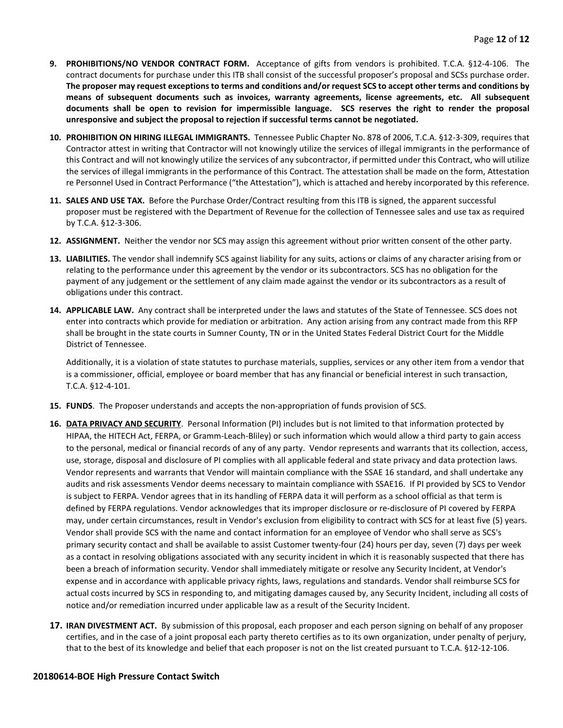- **9. PROHIBITIONS/NO VENDOR CONTRACT FORM.** Acceptance of gifts from vendors is prohibited. T.C.A. §12-4-106. The contract documents for purchase under this ITB shall consist of the successful proposer's proposal and SCSs purchase order. **The proposer may request exceptions to terms and conditions and/or request SCS to accept other terms and conditions by means of subsequent documents such as invoices, warranty agreements, license agreements, etc. All subsequent documents shall be open to revision for impermissible language. SCS reserves the right to render the proposal unresponsive and subject the proposal to rejection if successful terms cannot be negotiated.**
- **10. PROHIBITION ON HIRING ILLEGAL IMMIGRANTS.** Tennessee Public Chapter No. 878 of 2006, T.C.A. §12-3-309, requires that Contractor attest in writing that Contractor will not knowingly utilize the services of illegal immigrants in the performance of this Contract and will not knowingly utilize the services of any subcontractor, if permitted under this Contract, who will utilize the services of illegal immigrants in the performance of this Contract. The attestation shall be made on the form, Attestation re Personnel Used in Contract Performance ("the Attestation"), which is attached and hereby incorporated by this reference.
- **11. SALES AND USE TAX.** Before the Purchase Order/Contract resulting from this ITB is signed, the apparent successful proposer must be registered with the Department of Revenue for the collection of Tennessee sales and use tax as required by T.C.A. §12-3-306.
- **12. ASSIGNMENT.** Neither the vendor nor SCS may assign this agreement without prior written consent of the other party.
- **13. LIABILITIES.** The vendor shall indemnify SCS against liability for any suits, actions or claims of any character arising from or relating to the performance under this agreement by the vendor or its subcontractors. SCS has no obligation for the payment of any judgement or the settlement of any claim made against the vendor or its subcontractors as a result of obligations under this contract.
- **14. APPLICABLE LAW.** Any contract shall be interpreted under the laws and statutes of the State of Tennessee. SCS does not enter into contracts which provide for mediation or arbitration. Any action arising from any contract made from this RFP shall be brought in the state courts in Sumner County, TN or in the United States Federal District Court for the Middle District of Tennessee.

Additionally, it is a violation of state statutes to purchase materials, supplies, services or any other item from a vendor that is a commissioner, official, employee or board member that has any financial or beneficial interest in such transaction, T.C.A. §12-4-101.

- **15. FUNDS**. The Proposer understands and accepts the non-appropriation of funds provision of SCS.
- **16. DATA PRIVACY AND SECURITY**. Personal Information (PI) includes but is not limited to that information protected by HIPAA, the HITECH Act, FERPA, or Gramm-Leach-Bliley) or such information which would allow a third party to gain access to the personal, medical or financial records of any of any party. Vendor represents and warrants that its collection, access, use, storage, disposal and disclosure of PI complies with all applicable federal and state privacy and data protection laws. Vendor represents and warrants that Vendor will maintain compliance with the SSAE 16 standard, and shall undertake any audits and risk assessments Vendor deems necessary to maintain compliance with SSAE16. If PI provided by SCS to Vendor is subject to FERPA. Vendor agrees that in its handling of FERPA data it will perform as a school official as that term is defined by FERPA regulations. Vendor acknowledges that its improper disclosure or re-disclosure of PI covered by FERPA may, under certain circumstances, result in Vendor's exclusion from eligibility to contract with SCS for at least five (5) years. Vendor shall provide SCS with the name and contact information for an employee of Vendor who shall serve as SCS's primary security contact and shall be available to assist Customer twenty-four (24) hours per day, seven (7) days per week as a contact in resolving obligations associated with any security incident in which it is reasonably suspected that there has been a breach of information security. Vendor shall immediately mitigate or resolve any Security Incident, at Vendor's expense and in accordance with applicable privacy rights, laws, regulations and standards. Vendor shall reimburse SCS for actual costs incurred by SCS in responding to, and mitigating damages caused by, any Security Incident, including all costs of notice and/or remediation incurred under applicable law as a result of the Security Incident.
- **17. IRAN DIVESTMENT ACT.** By submission of this proposal, each proposer and each person signing on behalf of any proposer certifies, and in the case of a joint proposal each party thereto certifies as to its own organization, under penalty of perjury, that to the best of its knowledge and belief that each proposer is not on the list created pursuant to T.C.A. §12-12-106.